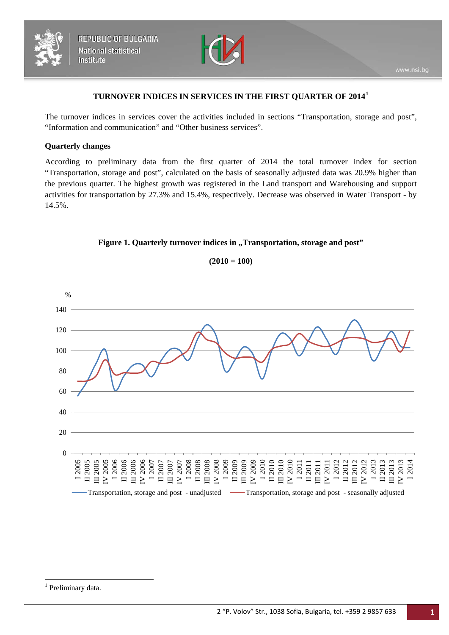



### **TURNOVER INDICES IN SERVICES IN THE FIRST QUARTER OF 2014[1](#page-0-0)**

The turnover indices in services cover the activities included in sections "Transportation, storage and post", "Information and communication" and "Other business services".

### **Quarterly changes**

According to preliminary data from the first quarter of 2014 the total turnover index for section "Transportation, storage and post", calculated on the basis of seasonally adjusted data was 20.9% higher than the previous quarter. The highest growth was registered in the Land transport and Warehousing and support activities for transportation by 27.3% and 15.4%, respectively. Decrease was observed in Water Transport - by 14.5%.



0 20 40 60 80 100 120 140 3005<br>12006 12006 12007<br>12006 12006 12007<br>12006 12007 12008 12008 12008 12008 12008 12008 12008 12008 12008 12008 12008 12008 12008 120<br>12008 12008 12008 12008 12008 12008 12008 12008 12008 12008 12008 12008 12008 12008 120 IV 2013 I 2014 % Transportation, storage and post - unadjusted — Transportation, storage and post - seasonally adjusted

**(2010 = 100)**

<span id="page-0-1"></span><span id="page-0-0"></span><sup>&</sup>lt;sup>1</sup> Preliminary data.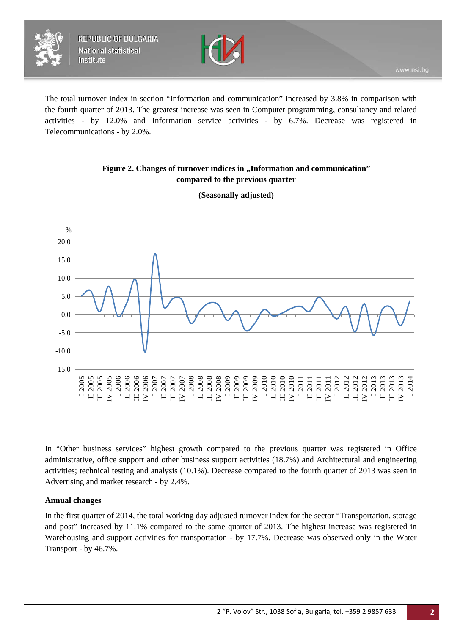



The total turnover index in section "Information and communication" increased by 3.8% in comparison with the fourth quarter of 2013. The greatest increase was seen in Computer programming, consultancy and related activities - by 12.0% and Information service activities - by 6.7%. Decrease was registered in Telecommunications - by 2.0%.

## Figure 2. Changes of turnover indices in , Information and communication" **compared to the previous quarter**



**(Seasonally adjusted)**

In "Other business services" highest growth compared to the previous quarter was registered in Office administrative, office support and other business support activities (18.7%) and Architectural and engineering activities; technical testing and analysis (10.1%). Decrease compared to the fourth quarter of 2013 was seen in Advertising and market research - by 2.4%.

### **Annual changes**

In the first quarter of 2014, the total working day adjusted turnover index for the sector "Transportation, storage and post" increased by 11.1% compared to the same quarter of 2013. The highest increase was registered in Warehousing and support activities for transportation - by 17.7%. Decrease was observed only in the Water Transport - by 46.7%.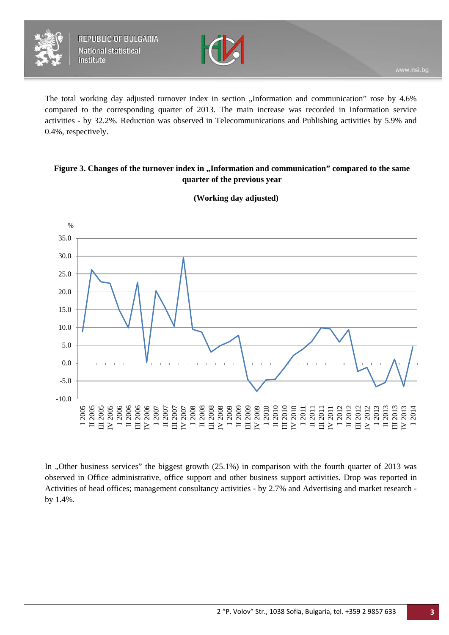



The total working day adjusted turnover index in section "Information and communication" rose by 4.6% compared to the corresponding quarter of 2013. The main increase was recorded in Information service activities - by 32.2%. Reduction was observed in Telecommunications and Publishing activities by 5.9% and 0.4%, respectively.

## Figure 3. Changes of the turnover index in "Information and communication" compared to the same **quarter of the previous year**



## **(Working day adjusted)**

In "Other business services" the biggest growth  $(25.1%)$  in comparison with the fourth quarter of 2013 was observed in Office administrative, office support and other business support activities. Drop was reported in Activities of head offices; management consultancy activities - by 2.7% and Advertising and market research by 1.4%.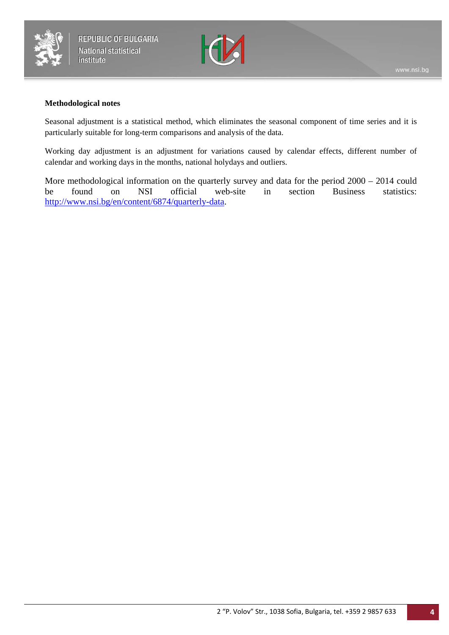



### **Methodological notes**

Seasonal adjustment is a statistical method, which eliminates the seasonal component of time series and it is particularly suitable for long-term comparisons and analysis of the data.

Working day adjustment is an adjustment for variations caused by calendar effects, different number of calendar and working days in the months, national holydays and outliers.

More methodological information on the quarterly survey and data for the period 2000 – 2014 could<br>be found on NSI official web-site in section Business statistics: be found on NSI official web-site in section Business statistics: [http://www.nsi.bg/en/content/6874/quarterly-data.](http://www.nsi.bg/en/content/6874/quarterly-data)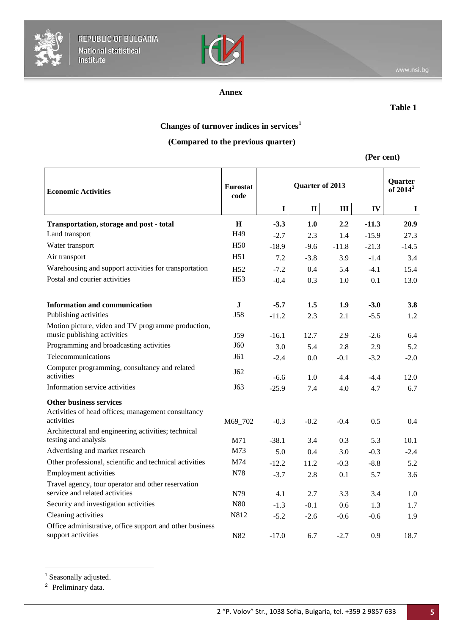



## **Annex**

### **Table 1**

# **Changes of turnover indices in services[1](#page-0-1)**

# **(Compared to the previous quarter)**

**(Per cent)**

| <b>Economic Activities</b>                                                                         | <b>Eurostat</b><br>code | Quarter of 2013 |              |         |         | Quarter<br>of $2014^2$ |
|----------------------------------------------------------------------------------------------------|-------------------------|-----------------|--------------|---------|---------|------------------------|
|                                                                                                    |                         | $\mathbf I$     | $\mathbf{I}$ | III     | IV      | $\mathbf I$            |
| Transportation, storage and post - total                                                           | H                       | $-3.3$          | 1.0          | 2.2     | $-11.3$ | 20.9                   |
| Land transport                                                                                     | H <sub>49</sub>         | $-2.7$          | 2.3          | 1.4     | $-15.9$ | 27.3                   |
| Water transport                                                                                    | H <sub>50</sub>         | $-18.9$         | $-9.6$       | $-11.8$ | $-21.3$ | $-14.5$                |
| Air transport                                                                                      | H51                     | 7.2             | $-3.8$       | 3.9     | $-1.4$  | 3.4                    |
| Warehousing and support activities for transportation                                              | H <sub>52</sub>         | $-7.2$          | 0.4          | 5.4     | $-4.1$  | 15.4                   |
| Postal and courier activities                                                                      | H <sub>53</sub>         | $-0.4$          | 0.3          | 1.0     | 0.1     | 13.0                   |
| <b>Information and communication</b>                                                               | $\mathbf J$             | $-5.7$          | 1.5          | 1.9     | $-3.0$  | 3.8                    |
| Publishing activities                                                                              | <b>J58</b>              | $-11.2$         | 2.3          | 2.1     | $-5.5$  | 1.2                    |
| Motion picture, video and TV programme production,<br>music publishing activities                  | J59                     | $-16.1$         | 12.7         | 2.9     | $-2.6$  | 6.4                    |
| Programming and broadcasting activities                                                            | J60                     | 3.0             | 5.4          | 2.8     | 2.9     | 5.2                    |
| Telecommunications                                                                                 | J61                     | $-2.4$          | 0.0          | $-0.1$  | $-3.2$  | $-2.0$                 |
| Computer programming, consultancy and related<br>activities                                        | J62                     | $-6.6$          | 1.0          | 4.4     | $-4.4$  | 12.0                   |
| Information service activities                                                                     | J63                     | $-25.9$         | 7.4          | 4.0     | 4.7     | 6.7                    |
| <b>Other business services</b><br>Activities of head offices; management consultancy<br>activities | M69_702                 | $-0.3$          | $-0.2$       | $-0.4$  | 0.5     | 0.4                    |
| Architectural and engineering activities; technical                                                |                         |                 |              |         |         |                        |
| testing and analysis                                                                               | M71                     | $-38.1$         | 3.4          | 0.3     | 5.3     | 10.1                   |
| Advertising and market research                                                                    | M73                     | 5.0             | 0.4          | 3.0     | $-0.3$  | $-2.4$                 |
| Other professional, scientific and technical activities                                            | M74                     | $-12.2$         | 11.2         | $-0.3$  | $-8.8$  | 5.2                    |
| <b>Employment activities</b>                                                                       | N78                     | $-3.7$          | 2.8          | 0.1     | 5.7     | 3.6                    |
| Travel agency, tour operator and other reservation<br>service and related activities               | N79                     | 4.1             | 2.7          | 3.3     | 3.4     | 1.0                    |
| Security and investigation activities                                                              | N80                     | $-1.3$          | $-0.1$       | 0.6     | 1.3     | 1.7                    |
| Cleaning activities                                                                                | N812                    | $-5.2$          | $-2.6$       | $-0.6$  | $-0.6$  | 1.9                    |
| Office administrative, office support and other business<br>support activities                     | N82                     | $-17.0$         | 6.7          | $-2.7$  | 0.9     | 18.7                   |

<sup>&</sup>lt;sup>1</sup> Seasonally adjusted.

 $\overline{a}$ 

<span id="page-4-1"></span><span id="page-4-0"></span><sup>2</sup> Preliminary data.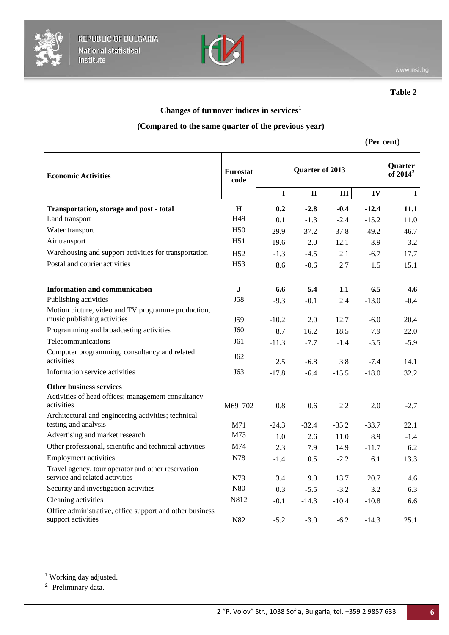



**Table 2**

# **Changes of turnover indices in services[1](#page-4-1)**

## **(Compared to the same quarter of the previous year)**

## **(Per cent)**

| <b>Economic Activities</b>                                                                         | <b>Eurostat</b><br>code | Quarter of 2013 |              |         |         | <b>Quarter</b><br>of $2014^2$ |  |
|----------------------------------------------------------------------------------------------------|-------------------------|-----------------|--------------|---------|---------|-------------------------------|--|
|                                                                                                    |                         | I               | $\mathbf{I}$ | III     | IV      | $\mathbf I$                   |  |
| Transportation, storage and post - total                                                           | H                       | 0.2             | $-2.8$       | $-0.4$  | $-12.4$ | 11.1                          |  |
| Land transport                                                                                     | H <sub>49</sub>         | 0.1             | $-1.3$       | $-2.4$  | $-15.2$ | 11.0                          |  |
| Water transport                                                                                    | H <sub>50</sub>         | $-29.9$         | $-37.2$      | $-37.8$ | $-49.2$ | $-46.7$                       |  |
| Air transport                                                                                      | H <sub>51</sub>         | 19.6            | 2.0          | 12.1    | 3.9     | 3.2                           |  |
| Warehousing and support activities for transportation                                              | H <sub>52</sub>         | $-1.3$          | $-4.5$       | 2.1     | $-6.7$  | 17.7                          |  |
| Postal and courier activities                                                                      | H <sub>53</sub>         | 8.6             | $-0.6$       | 2.7     | 1.5     | 15.1                          |  |
| <b>Information and communication</b>                                                               | $\mathbf J$             | -6.6            | $-5.4$       | 1.1     | $-6.5$  | 4.6                           |  |
| Publishing activities                                                                              | <b>J58</b>              | $-9.3$          | $-0.1$       | 2.4     | $-13.0$ | $-0.4$                        |  |
| Motion picture, video and TV programme production,<br>music publishing activities                  | J59                     | $-10.2$         | 2.0          | 12.7    | $-6.0$  | 20.4                          |  |
| Programming and broadcasting activities                                                            | J60                     | 8.7             | 16.2         | 18.5    | 7.9     | 22.0                          |  |
| Telecommunications                                                                                 | J61                     | $-11.3$         | $-7.7$       | $-1.4$  | $-5.5$  | $-5.9$                        |  |
| Computer programming, consultancy and related<br>activities                                        | J62                     | 2.5             | $-6.8$       | 3.8     | $-7.4$  | 14.1                          |  |
| Information service activities                                                                     | J63                     | $-17.8$         | $-6.4$       | $-15.5$ | $-18.0$ | 32.2                          |  |
| <b>Other business services</b><br>Activities of head offices; management consultancy<br>activities | M69_702                 | 0.8             | 0.6          | 2.2     | 2.0     | $-2.7$                        |  |
| Architectural and engineering activities; technical<br>testing and analysis                        | M71                     | $-24.3$         | $-32.4$      | $-35.2$ | $-33.7$ | 22.1                          |  |
| Advertising and market research                                                                    | M73                     | 1.0             | 2.6          | 11.0    | 8.9     | $-1.4$                        |  |
| Other professional, scientific and technical activities                                            | M74                     | 2.3             | 7.9          | 14.9    | $-11.7$ | 6.2                           |  |
| <b>Employment activities</b>                                                                       | N78                     | $-1.4$          | 0.5          | $-2.2$  | 6.1     | 13.3                          |  |
| Travel agency, tour operator and other reservation<br>service and related activities               | N79                     | 3.4             | 9.0          | 13.7    | 20.7    | 4.6                           |  |
| Security and investigation activities                                                              | N80                     | 0.3             | $-5.5$       | $-3.2$  | 3.2     | 6.3                           |  |
| Cleaning activities                                                                                | N812                    | $-0.1$          | $-14.3$      | $-10.4$ | $-10.8$ | 6.6                           |  |
| Office administrative, office support and other business<br>support activities                     | N82                     | $-5.2$          | $-3.0$       | $-6.2$  | $-14.3$ | 25.1                          |  |

<span id="page-5-0"></span><sup>2</sup> Preliminary data.

<sup>&</sup>lt;sup>1</sup> Working day adjusted.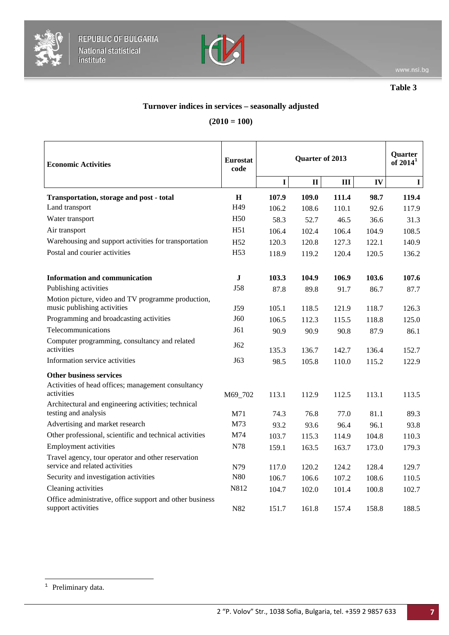



**Table 3**

# **Turnover indices in services – seasonally adjusted**

# **(2010 = 100)**

| <b>Economic Activities</b>                                                                         | <b>Eurostat</b><br>code | Quarter of 2013 |              |       |       | Quarter<br>of $2014^1$ |  |
|----------------------------------------------------------------------------------------------------|-------------------------|-----------------|--------------|-------|-------|------------------------|--|
|                                                                                                    |                         | $\mathbf I$     | $\mathbf{I}$ | Ш     | IV    | I                      |  |
| Transportation, storage and post - total                                                           | $\mathbf H$             | 107.9           | 109.0        | 111.4 | 98.7  | 119.4                  |  |
| Land transport                                                                                     | H49                     | 106.2           | 108.6        | 110.1 | 92.6  | 117.9                  |  |
| Water transport                                                                                    | H <sub>50</sub>         | 58.3            | 52.7         | 46.5  | 36.6  | 31.3                   |  |
| Air transport                                                                                      | H <sub>51</sub>         | 106.4           | 102.4        | 106.4 | 104.9 | 108.5                  |  |
| Warehousing and support activities for transportation                                              | H <sub>52</sub>         | 120.3           | 120.8        | 127.3 | 122.1 | 140.9                  |  |
| Postal and courier activities                                                                      | H <sub>53</sub>         | 118.9           | 119.2        | 120.4 | 120.5 | 136.2                  |  |
| <b>Information and communication</b>                                                               | $\mathbf J$             | 103.3           | 104.9        | 106.9 | 103.6 | 107.6                  |  |
| Publishing activities                                                                              | <b>J58</b>              | 87.8            | 89.8         | 91.7  | 86.7  | 87.7                   |  |
| Motion picture, video and TV programme production,<br>music publishing activities                  | J59                     | 105.1           | 118.5        | 121.9 | 118.7 | 126.3                  |  |
| Programming and broadcasting activities                                                            | J60                     | 106.5           | 112.3        | 115.5 | 118.8 | 125.0                  |  |
| Telecommunications                                                                                 | J61                     | 90.9            | 90.9         | 90.8  | 87.9  | 86.1                   |  |
| Computer programming, consultancy and related<br>activities                                        | J62                     | 135.3           | 136.7        | 142.7 | 136.4 | 152.7                  |  |
| Information service activities                                                                     | J63                     | 98.5            | 105.8        | 110.0 | 115.2 | 122.9                  |  |
| <b>Other business services</b><br>Activities of head offices; management consultancy<br>activities | M69 702                 | 113.1           | 112.9        | 112.5 | 113.1 | 113.5                  |  |
| Architectural and engineering activities; technical<br>testing and analysis                        | M71                     | 74.3            | 76.8         | 77.0  | 81.1  | 89.3                   |  |
| Advertising and market research                                                                    | M73                     | 93.2            | 93.6         | 96.4  | 96.1  | 93.8                   |  |
| Other professional, scientific and technical activities                                            | M74                     | 103.7           | 115.3        | 114.9 | 104.8 | 110.3                  |  |
| <b>Employment activities</b>                                                                       | N78                     | 159.1           | 163.5        | 163.7 | 173.0 | 179.3                  |  |
| Travel agency, tour operator and other reservation<br>service and related activities               | N79                     | 117.0           | 120.2        | 124.2 | 128.4 | 129.7                  |  |
| Security and investigation activities                                                              | N80                     | 106.7           | 106.6        | 107.2 | 108.6 | 110.5                  |  |
| Cleaning activities                                                                                | N812                    | 104.7           | 102.0        | 101.4 | 100.8 | 102.7                  |  |
| Office administrative, office support and other business<br>support activities                     | N82                     | 151.7           | 161.8        | 157.4 | 158.8 | 188.5                  |  |

<span id="page-6-0"></span><sup>&</sup>lt;sup>1</sup> Preliminary data.